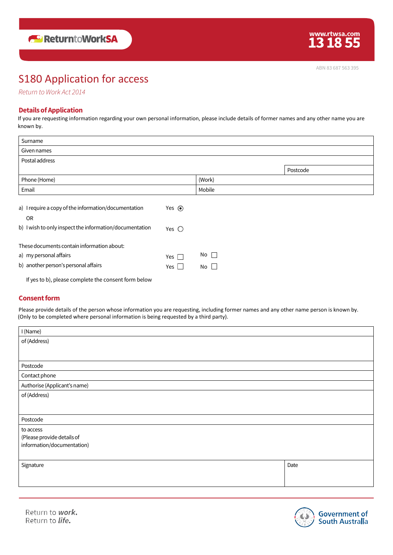# S180 Application for access

*Return to Work Act 2014*

## **DetailsofApplication**

If you are requesting information regarding your own personal information, please include details of former names and any other name you are known by.

| Surname                                                 |                         |              |          |  |
|---------------------------------------------------------|-------------------------|--------------|----------|--|
| Given names                                             |                         |              |          |  |
| Postal address                                          |                         |              |          |  |
|                                                         |                         |              | Postcode |  |
| Phone (Home)                                            |                         | (Work)       |          |  |
| Email                                                   |                         | Mobile       |          |  |
|                                                         |                         |              |          |  |
| a) I require a copy of the information/documentation    | Yes $\odot$             |              |          |  |
| <b>OR</b>                                               |                         |              |          |  |
| b) I wish to only inspect the information/documentation | Yes $\bigcirc$          |              |          |  |
|                                                         |                         |              |          |  |
| These documents contain information about:              |                         |              |          |  |
| a) my personal affairs                                  | Yes $\Box$              | $No$ $\Box$  |          |  |
| b) another person's personal affairs                    | Yes  <br>$\blacksquare$ | No $\square$ |          |  |
| If yes to b), please complete the consent form below    |                         |              |          |  |

### **Consent form**

Please provide details of the person whose information you are requesting, including former names and any other name person is known by. (Only to be completed where personal information is being requested by a third party).

| I (Name)                     |      |
|------------------------------|------|
| of (Address)                 |      |
|                              |      |
| Postcode                     |      |
| Contact phone                |      |
|                              |      |
| Authorise (Applicant's name) |      |
| of (Address)                 |      |
|                              |      |
|                              |      |
| Postcode                     |      |
| to access                    |      |
| (Please provide details of   |      |
| information/documentation)   |      |
|                              |      |
| Signature                    | Date |
|                              |      |
|                              |      |
|                              |      |